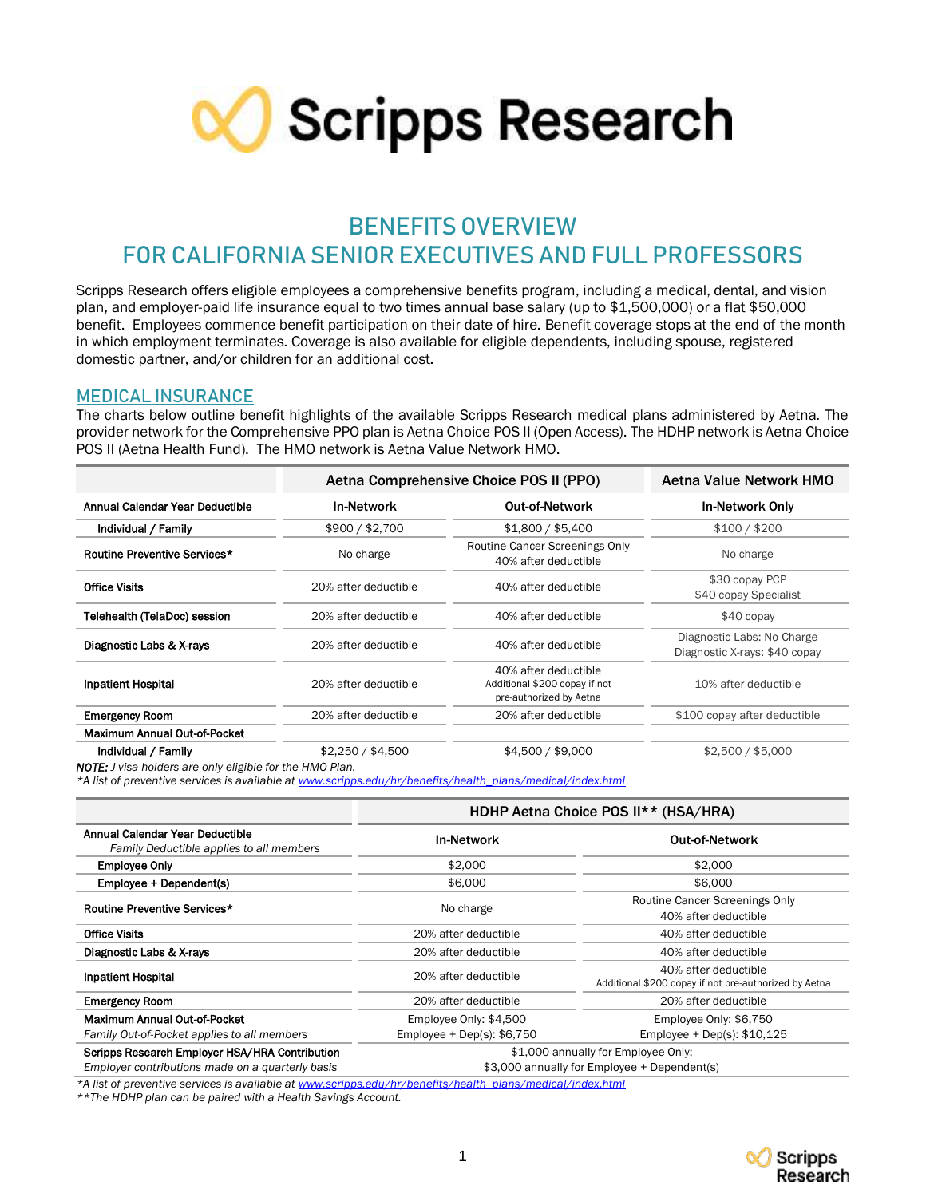

## **BENEFITS OVERVIEW FOR CALIFORNIA SENIOR EXECUTIVES AND FULL PROFESSORS**

Scripps Research offers eligible employees a comprehensive benefits program, including a medical, dental, and vision plan, and employer-paid life insurance equal to two times annual base salary (up to \$1,500,000) or a flat \$50,000 benefit. Employees commence benefit participation on their date of hire. Benefit coverage stops at the end of the month in which employment terminates. Coverage is also available for eligible dependents, including spouse, registered domestic partner, and/or children for an additional cost.

#### **MEDICAL INSURANCE**

The charts below outline benefit highlights of the available Scripps Research medical plans administered by Aetna. The provider network for the Comprehensive PPO plan is Aetna Choice POS II (Open Access). The HDHP network is Aetna Choice POS II (Aetna Health Fund). The HMO network is Aetna Value Network HMO.

|                      | Aetna Value Network HMO                                                          |                                                             |  |
|----------------------|----------------------------------------------------------------------------------|-------------------------------------------------------------|--|
| <b>In-Network</b>    | <b>Out-of-Network</b>                                                            | <b>In-Network Only</b>                                      |  |
| \$900 / \$2,700      | \$1,800 / \$5,400                                                                | \$100 / \$200                                               |  |
| No charge            | Routine Cancer Screenings Only<br>40% after deductible                           | No charge                                                   |  |
| 20% after deductible | 40% after deductible                                                             | \$30 copay PCP<br>\$40 copay Specialist                     |  |
| 20% after deductible | 40% after deductible                                                             | $$40$ copay                                                 |  |
| 20% after deductible | 40% after deductible                                                             | Diagnostic Labs: No Charge<br>Diagnostic X-rays: \$40 copay |  |
| 20% after deductible | 40% after deductible<br>Additional \$200 copay if not<br>pre-authorized by Aetna | 10% after deductible                                        |  |
| 20% after deductible | 20% after deductible                                                             | \$100 copay after deductible                                |  |
|                      |                                                                                  |                                                             |  |
| \$2,250 / \$4,500    | \$4,500 / \$9,000                                                                | \$2,500 / \$5,000                                           |  |
|                      |                                                                                  | Aetna Comprehensive Choice POS II (PPO)                     |  |

*\*A list of preventive services is available a[t www.scripps.edu/hr/benefits/health\\_plans/medical/index.html](http://www.scripps.edu/hr/benefits/health_plans/medical/index.html)*

|                                                                                                    | HDHP Aetna Choice POS II** (HSA/HRA)                                                                  |                                                        |  |
|----------------------------------------------------------------------------------------------------|-------------------------------------------------------------------------------------------------------|--------------------------------------------------------|--|
| Annual Calendar Year Deductible<br>Family Deductible applies to all members                        | <b>In-Network</b>                                                                                     | <b>Out-of-Network</b>                                  |  |
| <b>Employee Only</b>                                                                               | \$2,000                                                                                               | \$2,000                                                |  |
| Employee + Dependent(s)                                                                            | \$6,000<br>\$6,000                                                                                    |                                                        |  |
| Routine Preventive Services*                                                                       | No charge                                                                                             | Routine Cancer Screenings Only<br>40% after deductible |  |
| <b>Office Visits</b>                                                                               | 20% after deductible<br>40% after deductible                                                          |                                                        |  |
| Diagnostic Labs & X-rays                                                                           | 20% after deductible                                                                                  | 40% after deductible                                   |  |
| <b>Inpatient Hospital</b>                                                                          | 40% after deductible<br>20% after deductible<br>Additional \$200 copay if not pre-authorized by Aetna |                                                        |  |
| <b>Emergency Room</b>                                                                              | 20% after deductible                                                                                  | 20% after deductible                                   |  |
| Maximum Annual Out-of-Pocket                                                                       | Employee Only: \$4,500                                                                                | Employee Only: \$6,750                                 |  |
| Family Out-of-Pocket applies to all members                                                        | Employee + Dep(s): $$6,750$                                                                           | Employee + Dep(s): $$10,125$                           |  |
| Scripps Research Employer HSA/HRA Contribution<br>Employer contributions made on a quarterly basis | \$1,000 annually for Employee Only;<br>\$3,000 annually for Employee + Dependent(s)                   |                                                        |  |

*\*A list of preventive services is available a[t www.scripps.edu/hr/benefits/health\\_plans/medical/index.html](http://www.scripps.edu/hr/benefits/health_plans/medical/index.html)*

*\*\*The HDHP plan can be paired with a Health Savings Account.*

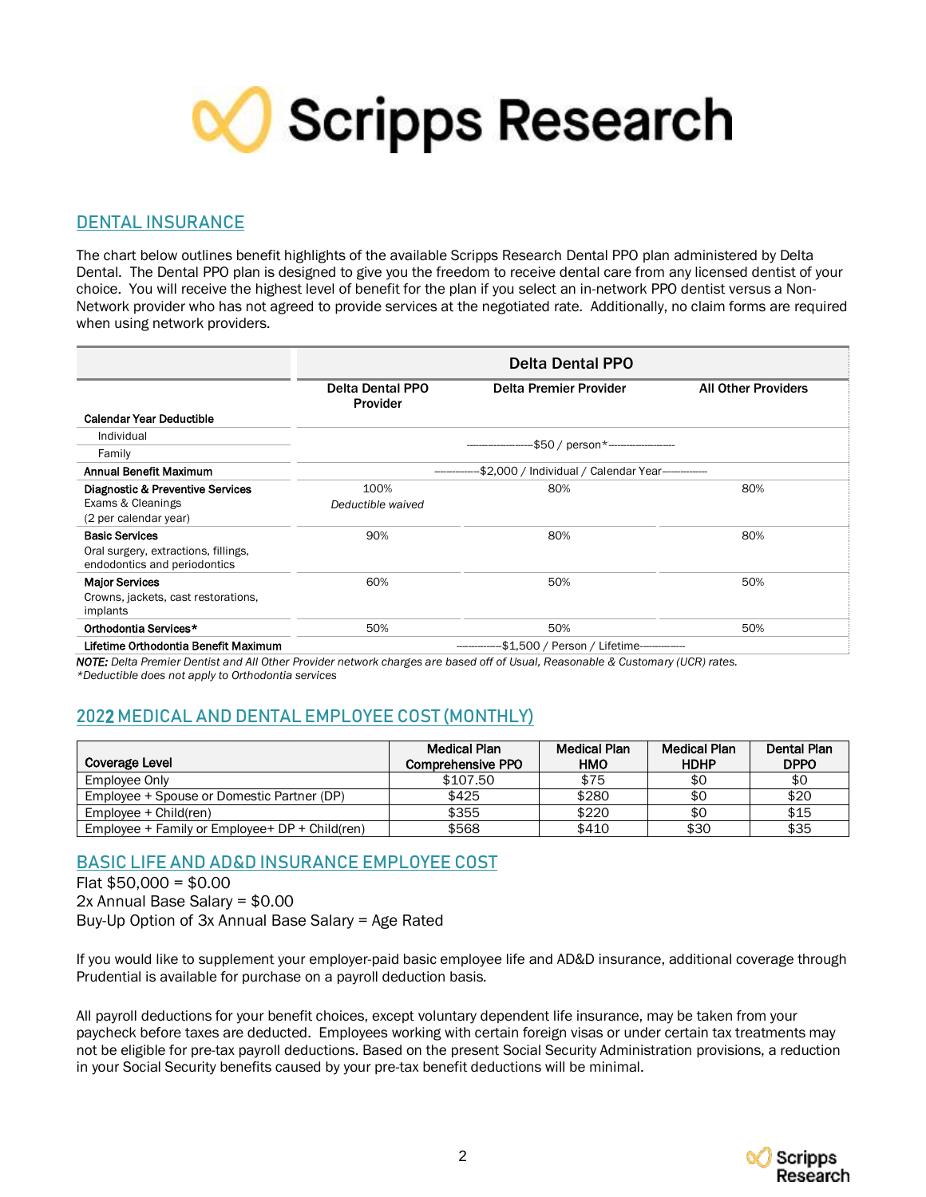

## **DENTAL INSURANCE**

The chart below outlines benefit highlights of the available Scripps Research Dental PPO plan administered by Delta Dental. The Dental PPO plan is designed to give you the freedom to receive dental care from any licensed dentist of your choice. You will receive the highest level of benefit for the plan if you select an in-network PPO dentist versus a Non-Network provider who has not agreed to provide services at the negotiated rate. Additionally, no claim forms are required when using network providers.

|                                                                                               | <b>Delta Dental PPO</b>                            |                        |                            |  |
|-----------------------------------------------------------------------------------------------|----------------------------------------------------|------------------------|----------------------------|--|
|                                                                                               | <b>Delta Dental PPO</b><br>Provider                | Delta Premier Provider | <b>All Other Providers</b> |  |
| <b>Calendar Year Deductible</b>                                                               |                                                    |                        |                            |  |
| Individual                                                                                    |                                                    |                        |                            |  |
| Family                                                                                        | -\$50 / person*---------------------               |                        |                            |  |
| Annual Benefit Maximum                                                                        | -\$2,000 / Individual / Calendar Year------------- |                        |                            |  |
| Diagnostic & Preventive Services<br>Exams & Cleanings<br>(2 per calendar year)                | 100%<br>Deductible waived                          | 80%                    | 80%                        |  |
| <b>Basic Services</b><br>Oral surgery, extractions, fillings,<br>endodontics and periodontics | 90%                                                | 80%                    | 80%                        |  |
| <b>Major Services</b><br>Crowns, jackets, cast restorations,<br>implants                      | 60%                                                | 50%                    | 50%                        |  |
| Orthodontia Services*                                                                         | 50%                                                | 50%                    | 50%                        |  |
| Lifetime Orthodontia Benefit Maximum                                                          | -\$1,500 / Person / Lifetime-------------          |                        |                            |  |

*NOTE: Delta Premier Dentist and All Other Provider network charges are based off of Usual, Reasonable & Customary (UCR) rates.* 

*\*Deductible does not apply to Orthodontia services*

## **202**2 **MEDICAL AND DENTAL EMPLOYEE COST (MONTHLY)**

|                                                 | Medical Plan             | <b>Medical Plan</b> | <b>Medical Plan</b> | Dental Plan |
|-------------------------------------------------|--------------------------|---------------------|---------------------|-------------|
| Coverage Level                                  | <b>Comprehensive PPO</b> | <b>HMO</b>          | <b>HDHP</b>         | <b>DPPO</b> |
| Employee Only                                   | \$107.50                 | \$75                | \$0                 | \$0         |
| Employee + Spouse or Domestic Partner (DP)      | \$425                    | \$280               | \$0                 | \$20        |
| $Emolvee + Child (ren)$                         | \$355                    | \$220               | \$0                 | \$15        |
| Employee + Family or Employee + $DP + Children$ | \$568                    | \$410               | \$30                | \$35        |

## **BASIC LIFE AND AD&D INSURANCE EMPLOYEE COST**

Flat \$50,000 = \$0.00 2x Annual Base Salary = \$0.00 Buy-Up Option of 3x Annual Base Salary = Age Rated

If you would like to supplement your employer-paid basic employee life and AD&D insurance, additional coverage through Prudential is available for purchase on a payroll deduction basis.

All payroll deductions for your benefit choices, except voluntary dependent life insurance, may be taken from your paycheck before taxes are deducted. Employees working with certain foreign visas or under certain tax treatments may not be eligible for pre-tax payroll deductions. Based on the present Social Security Administration provisions, a reduction in your Social Security benefits caused by your pre-tax benefit deductions will be minimal.

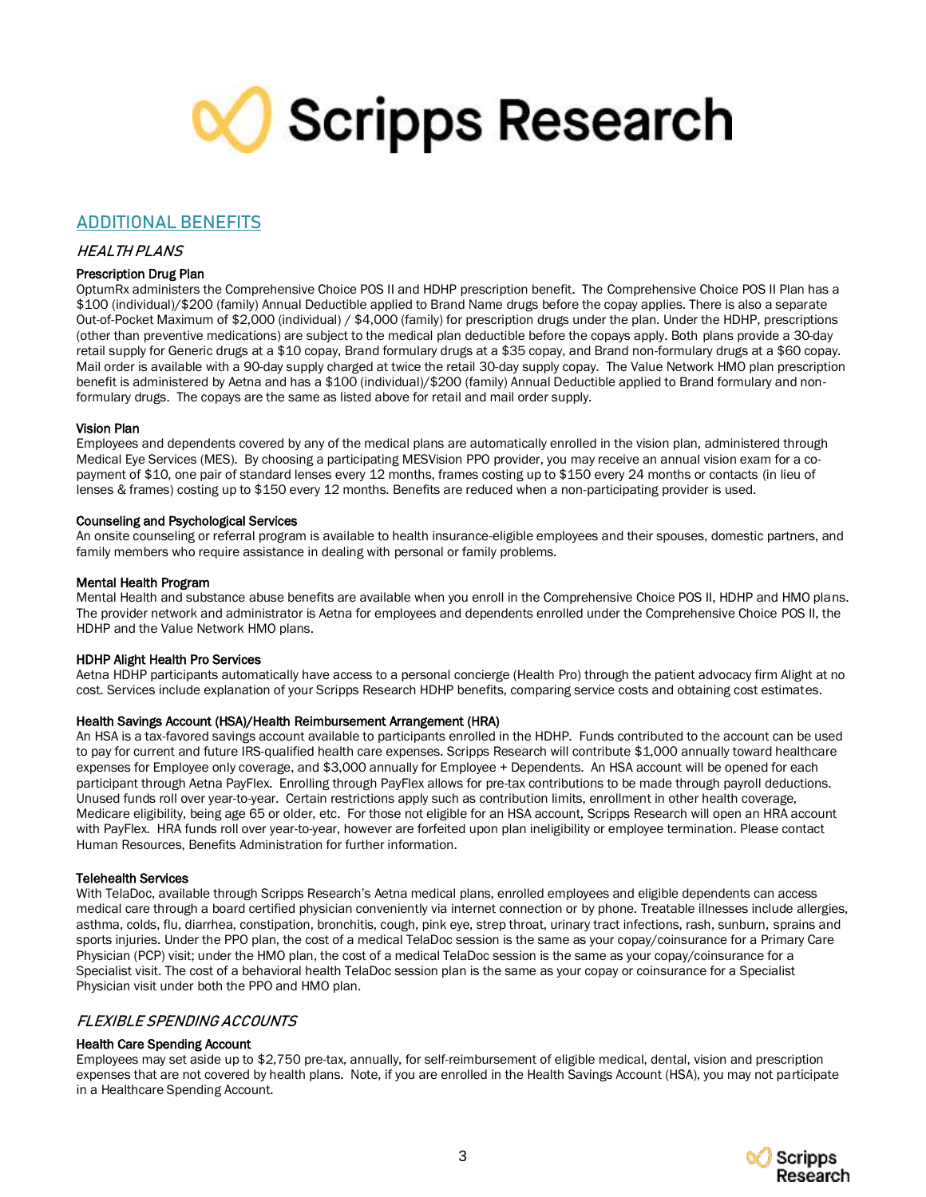# **X** Scripps Research

### **ADDITIONAL BENEFITS**

#### HEALTH PLANS

#### Prescription Drug Plan

OptumRx administers the Comprehensive Choice POS II and HDHP prescription benefit. The Comprehensive Choice POS II Plan has a \$100 (individual)/\$200 (family) Annual Deductible applied to Brand Name drugs before the copay applies. There is also a separate Out-of-Pocket Maximum of \$2,000 (individual) / \$4,000 (family) for prescription drugs under the plan. Under the HDHP, prescriptions (other than preventive medications) are subject to the medical plan deductible before the copays apply. Both plans provide a 30-day retail supply for Generic drugs at a \$10 copay, Brand formulary drugs at a \$35 copay, and Brand non-formulary drugs at a \$60 copay. Mail order is available with a 90-day supply charged at twice the retail 30-day supply copay. The Value Network HMO plan prescription benefit is administered by Aetna and has a \$100 (individual)/\$200 (family) Annual Deductible applied to Brand formulary and nonformulary drugs. The copays are the same as listed above for retail and mail order supply.

#### Vision Plan

Employees and dependents covered by any of the medical plans are automatically enrolled in the vision plan, administered through Medical Eye Services (MES). By choosing a participating MESVision PPO provider, you may receive an annual vision exam for a copayment of \$10, one pair of standard lenses every 12 months, frames costing up to \$150 every 24 months or contacts (in lieu of lenses & frames) costing up to \$150 every 12 months. Benefits are reduced when a non-participating provider is used.

#### Counseling and Psychological Services

An onsite counseling or referral program is available to health insurance-eligible employees and their spouses, domestic partners, and family members who require assistance in dealing with personal or family problems.

#### Mental Health Program

Mental Health and substance abuse benefits are available when you enroll in the Comprehensive Choice POS II, HDHP and HMO plans. The provider network and administrator is Aetna for employees and dependents enrolled under the Comprehensive Choice POS II, the HDHP and the Value Network HMO plans.

#### HDHP Alight Health Pro Services

Aetna HDHP participants automatically have access to a personal concierge (Health Pro) through the patient advocacy firm Alight at no cost. Services include explanation of your Scripps Research HDHP benefits, comparing service costs and obtaining cost estimates.

#### Health Savings Account (HSA)/Health Reimbursement Arrangement (HRA)

An HSA is a tax-favored savings account available to participants enrolled in the HDHP. Funds contributed to the account can be used to pay for current and future IRS-qualified health care expenses. Scripps Research will contribute \$1,000 annually toward healthcare expenses for Employee only coverage, and \$3,000 annually for Employee + Dependents. An HSA account will be opened for each participant through Aetna PayFlex. Enrolling through PayFlex allows for pre-tax contributions to be made through payroll deductions. Unused funds roll over year-to-year. Certain restrictions apply such as contribution limits, enrollment in other health coverage, Medicare eligibility, being age 65 or older, etc. For those not eligible for an HSA account, Scripps Research will open an HRA account with PayFlex. HRA funds roll over year-to-year, however are forfeited upon plan ineligibility or employee termination. Please contact Human Resources, Benefits Administration for further information.

#### Telehealth Services

With TelaDoc, available through Scripps Research's Aetna medical plans, enrolled employees and eligible dependents can access medical care through a board certified physician conveniently via internet connection or by phone. Treatable illnesses include allergies, asthma, colds, flu, diarrhea, constipation, bronchitis, cough, pink eye, strep throat, urinary tract infections, rash, sunburn, sprains and sports injuries. Under the PPO plan, the cost of a medical TelaDoc session is the same as your copay/coinsurance for a Primary Care Physician (PCP) visit; under the HMO plan, the cost of a medical TelaDoc session is the same as your copay/coinsurance for a Specialist visit. The cost of a behavioral health TelaDoc session plan is the same as your copay or coinsurance for a Specialist Physician visit under both the PPO and HMO plan.

#### FLEXIBLE SPENDING ACCOUNTS

#### Health Care Spending Account

Employees may set aside up to \$2,750 pre-tax, annually, for self-reimbursement of eligible medical, dental, vision and prescription expenses that are not covered by health plans. Note, if you are enrolled in the Health Savings Account (HSA), you may not participate in a Healthcare Spending Account.

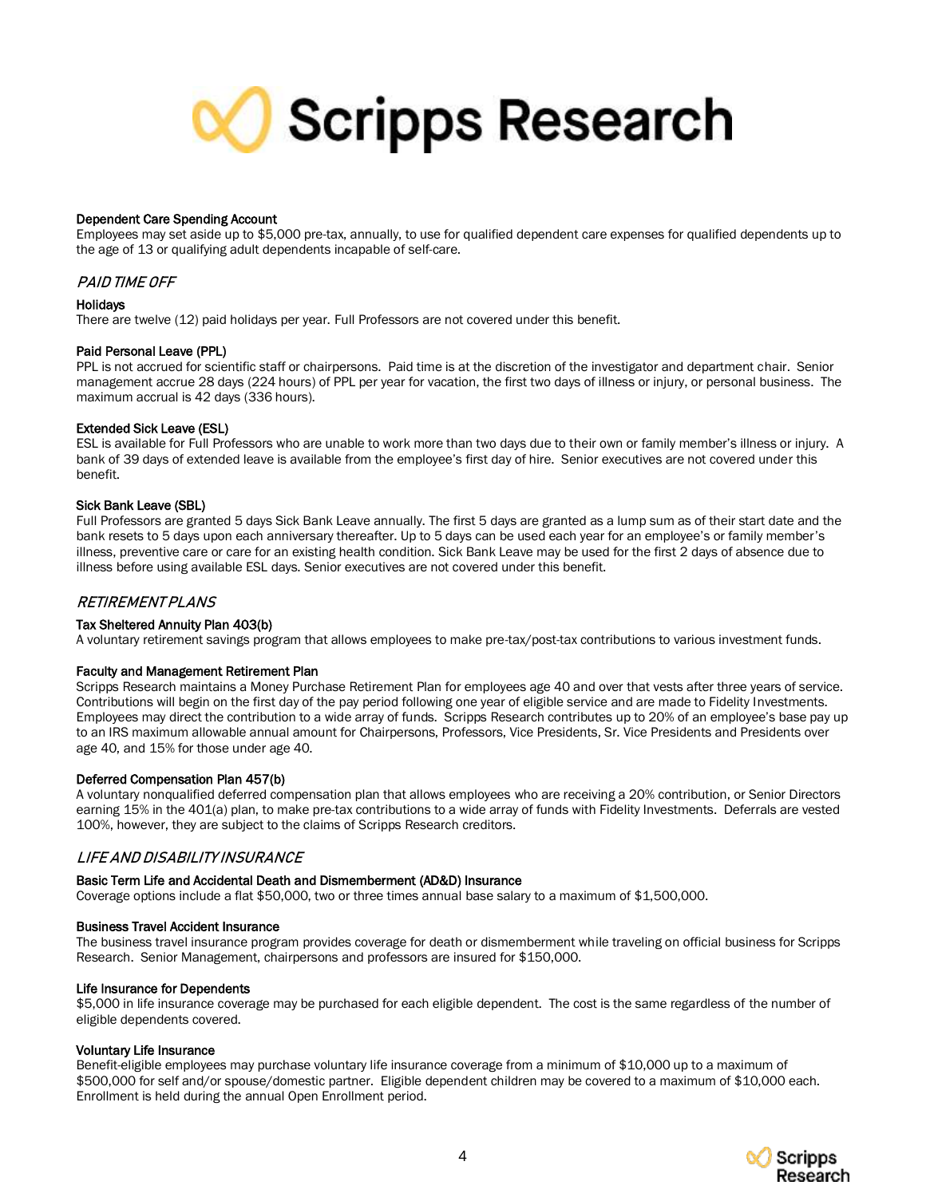

#### Dependent Care Spending Account

Employees may set aside up to \$5,000 pre-tax, annually, to use for qualified dependent care expenses for qualified dependents up to the age of 13 or qualifying adult dependents incapable of self-care.

#### PAID TIME OFF

#### **Holidays**

There are twelve (12) paid holidays per year. Full Professors are not covered under this benefit.

#### Paid Personal Leave (PPL)

PPL is not accrued for scientific staff or chairpersons. Paid time is at the discretion of the investigator and department chair. Senior management accrue 28 days (224 hours) of PPL per year for vacation, the first two days of illness or injury, or personal business. The maximum accrual is 42 days (336 hours).

#### Extended Sick Leave (ESL)

ESL is available for Full Professors who are unable to work more than two days due to their own or family member's illness or injury. A bank of 39 days of extended leave is available from the employee's first day of hire. Senior executives are not covered under this benefit.

#### Sick Bank Leave (SBL)

Full Professors are granted 5 days Sick Bank Leave annually. The first 5 days are granted as a lump sum as of their start date and the bank resets to 5 days upon each anniversary thereafter. Up to 5 days can be used each year for an employee's or family member's illness, preventive care or care for an existing health condition. Sick Bank Leave may be used for the first 2 days of absence due to illness before using available ESL days. Senior executives are not covered under this benefit.

#### **RETIREMENT PLANS**

#### Tax Sheltered Annuity Plan 403(b)

A voluntary retirement savings program that allows employees to make pre-tax/post-tax contributions to various investment funds.

#### Faculty and Management Retirement Plan

Scripps Research maintains a Money Purchase Retirement Plan for employees age 40 and over that vests after three years of service. Contributions will begin on the first day of the pay period following one year of eligible service and are made to Fidelity Investments. Employees may direct the contribution to a wide array of funds. Scripps Research contributes up to 20% of an employee's base pay up to an IRS maximum allowable annual amount for Chairpersons, Professors, Vice Presidents, Sr. Vice Presidents and Presidents over age 40, and 15% for those under age 40.

#### Deferred Compensation Plan 457(b)

A voluntary nonqualified deferred compensation plan that allows employees who are receiving a 20% contribution, or Senior Directors earning 15% in the 401(a) plan, to make pre-tax contributions to a wide array of funds with Fidelity Investments. Deferrals are vested 100%, however, they are subject to the claims of Scripps Research creditors.

#### LIFE AND DISABILITY INSURANCE

#### Basic Term Life and Accidental Death and Dismemberment (AD&D) Insurance

Coverage options include a flat \$50,000, two or three times annual base salary to a maximum of \$1,500,000.

#### Business Travel Accident Insurance

The business travel insurance program provides coverage for death or dismemberment while traveling on official business for Scripps Research. Senior Management, chairpersons and professors are insured for \$150,000.

#### Life Insurance for Dependents

\$5,000 in life insurance coverage may be purchased for each eligible dependent. The cost is the same regardless of the number of eligible dependents covered.

#### Voluntary Life Insurance

Benefit-eligible employees may purchase voluntary life insurance coverage from a minimum of \$10,000 up to a maximum of \$500,000 for self and/or spouse/domestic partner. Eligible dependent children may be covered to a maximum of \$10,000 each. Enrollment is held during the annual Open Enrollment period.